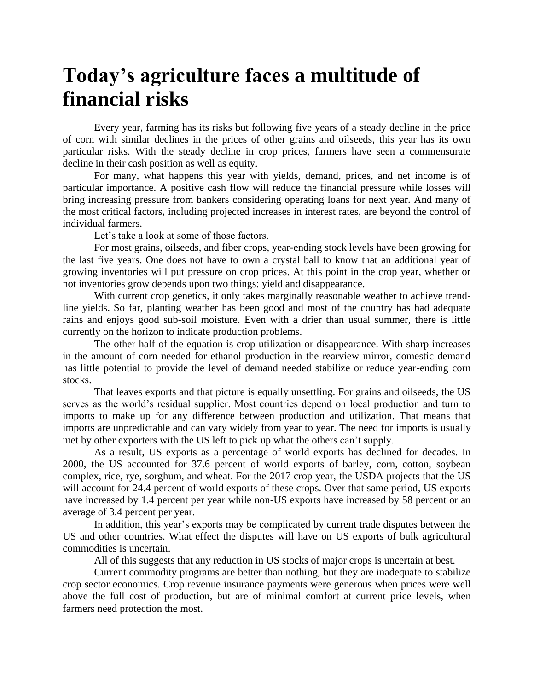## **Today's agriculture faces a multitude of financial risks**

Every year, farming has its risks but following five years of a steady decline in the price of corn with similar declines in the prices of other grains and oilseeds, this year has its own particular risks. With the steady decline in crop prices, farmers have seen a commensurate decline in their cash position as well as equity.

For many, what happens this year with yields, demand, prices, and net income is of particular importance. A positive cash flow will reduce the financial pressure while losses will bring increasing pressure from bankers considering operating loans for next year. And many of the most critical factors, including projected increases in interest rates, are beyond the control of individual farmers.

Let's take a look at some of those factors.

For most grains, oilseeds, and fiber crops, year-ending stock levels have been growing for the last five years. One does not have to own a crystal ball to know that an additional year of growing inventories will put pressure on crop prices. At this point in the crop year, whether or not inventories grow depends upon two things: yield and disappearance.

With current crop genetics, it only takes marginally reasonable weather to achieve trendline yields. So far, planting weather has been good and most of the country has had adequate rains and enjoys good sub-soil moisture. Even with a drier than usual summer, there is little currently on the horizon to indicate production problems.

The other half of the equation is crop utilization or disappearance. With sharp increases in the amount of corn needed for ethanol production in the rearview mirror, domestic demand has little potential to provide the level of demand needed stabilize or reduce year-ending corn stocks.

That leaves exports and that picture is equally unsettling. For grains and oilseeds, the US serves as the world's residual supplier. Most countries depend on local production and turn to imports to make up for any difference between production and utilization. That means that imports are unpredictable and can vary widely from year to year. The need for imports is usually met by other exporters with the US left to pick up what the others can't supply.

As a result, US exports as a percentage of world exports has declined for decades. In 2000, the US accounted for 37.6 percent of world exports of barley, corn, cotton, soybean complex, rice, rye, sorghum, and wheat. For the 2017 crop year, the USDA projects that the US will account for 24.4 percent of world exports of these crops. Over that same period, US exports have increased by 1.4 percent per year while non-US exports have increased by 58 percent or an average of 3.4 percent per year.

In addition, this year's exports may be complicated by current trade disputes between the US and other countries. What effect the disputes will have on US exports of bulk agricultural commodities is uncertain.

All of this suggests that any reduction in US stocks of major crops is uncertain at best.

Current commodity programs are better than nothing, but they are inadequate to stabilize crop sector economics. Crop revenue insurance payments were generous when prices were well above the full cost of production, but are of minimal comfort at current price levels, when farmers need protection the most.